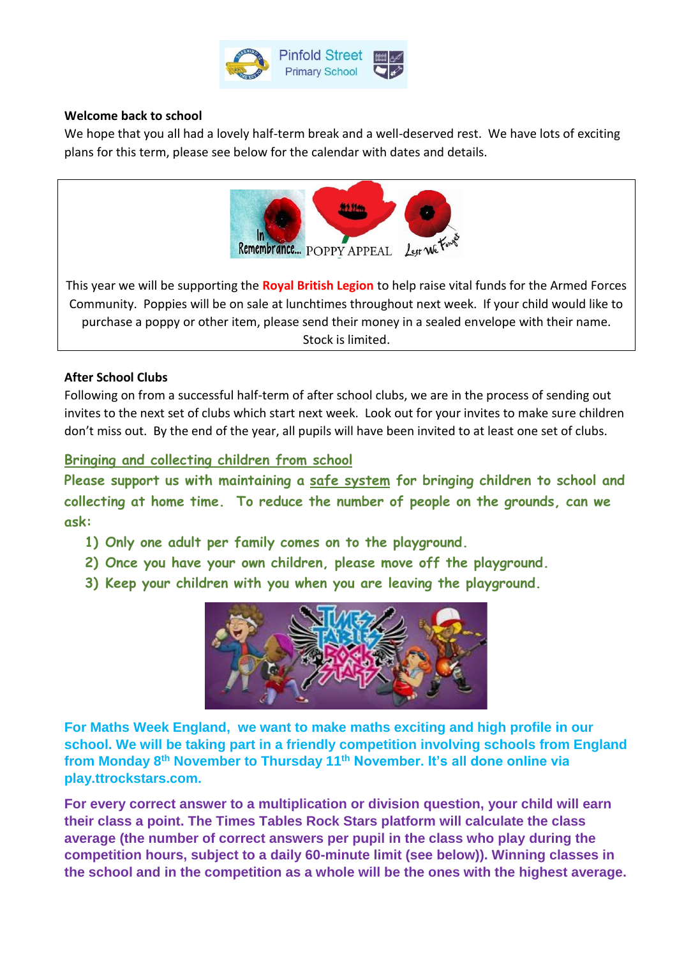

## **Welcome back to school**

We hope that you all had a lovely half-term break and a well-deserved rest. We have lots of exciting plans for this term, please see below for the calendar with dates and details.



This year we will be supporting the **Royal British Legion** to help raise vital funds for the Armed Forces Community. Poppies will be on sale at lunchtimes throughout next week. If your child would like to purchase a poppy or other item, please send their money in a sealed envelope with their name. Stock is limited.

## **After School Clubs**

Following on from a successful half-term of after school clubs, we are in the process of sending out invites to the next set of clubs which start next week. Look out for your invites to make sure children don't miss out. By the end of the year, all pupils will have been invited to at least one set of clubs.

## **Bringing and collecting children from school**

**Please support us with maintaining a safe system for bringing children to school and collecting at home time. To reduce the number of people on the grounds, can we ask:**

- **1) Only one adult per family comes on to the playground.**
- **2) Once you have your own children, please move off the playground.**
- **3) Keep your children with you when you are leaving the playground.**



**For Maths Week England, we want to make maths exciting and high profile in our school. We will be taking part in a friendly competition involving schools from England from Monday 8th November to Thursday 11th November. It's all done online via play.ttrockstars.com.**

**For every correct answer to a multiplication or division question, your child will earn their class a point. The Times Tables Rock Stars platform will calculate the class average (the number of correct answers per pupil in the class who play during the competition hours, subject to a daily 60-minute limit (see below)). Winning classes in the school and in the competition as a whole will be the ones with the highest average.**